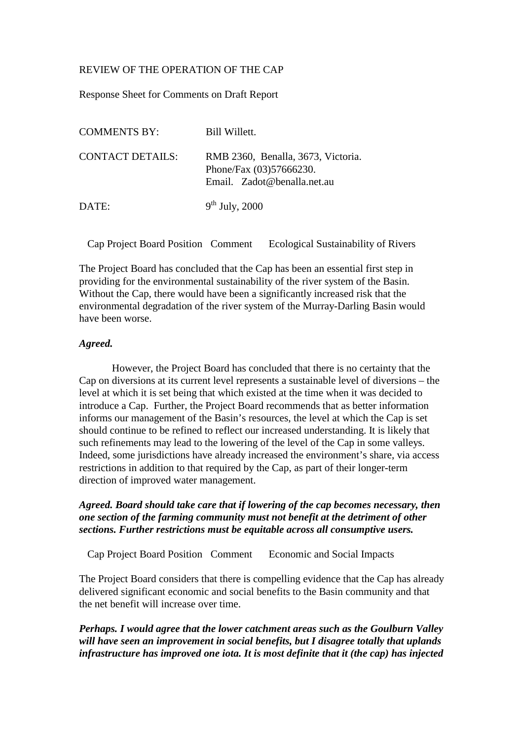# REVIEW OF THE OPERATION OF THE CAP

Response Sheet for Comments on Draft Report

| <b>COMMENTS BY:</b>     | Bill Willett.                                                                                |
|-------------------------|----------------------------------------------------------------------------------------------|
| <b>CONTACT DETAILS:</b> | RMB 2360, Benalla, 3673, Victoria.<br>Phone/Fax (03)57666230.<br>Email. Zadot@benalla.net.au |
| DATE:                   | $9th$ July, 2000                                                                             |

Cap Project Board Position Comment Ecological Sustainability of Rivers

The Project Board has concluded that the Cap has been an essential first step in providing for the environmental sustainability of the river system of the Basin. Without the Cap, there would have been a significantly increased risk that the environmental degradation of the river system of the Murray-Darling Basin would have been worse.

#### *Agreed.*

However, the Project Board has concluded that there is no certainty that the Cap on diversions at its current level represents a sustainable level of diversions – the level at which it is set being that which existed at the time when it was decided to introduce a Cap. Further, the Project Board recommends that as better information informs our management of the Basin's resources, the level at which the Cap is set should continue to be refined to reflect our increased understanding. It is likely that such refinements may lead to the lowering of the level of the Cap in some valleys. Indeed, some jurisdictions have already increased the environment's share, via access restrictions in addition to that required by the Cap, as part of their longer-term direction of improved water management.

### *Agreed. Board should take care that if lowering of the cap becomes necessary, then one section of the farming community must not benefit at the detriment of other sections. Further restrictions must be equitable across all consumptive users.*

Cap Project Board Position Comment Economic and Social Impacts

The Project Board considers that there is compelling evidence that the Cap has already delivered significant economic and social benefits to the Basin community and that the net benefit will increase over time.

*Perhaps. I would agree that the lower catchment areas such as the Goulburn Valley will have seen an improvement in social benefits, but I disagree totally that uplands infrastructure has improved one iota. It is most definite that it (the cap) has injected*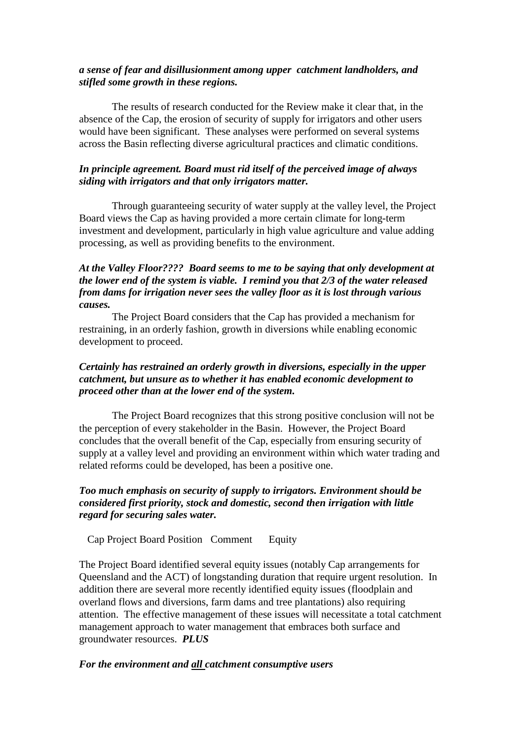# *a sense of fear and disillusionment among upper catchment landholders, and stifled some growth in these regions.*

The results of research conducted for the Review make it clear that, in the absence of the Cap, the erosion of security of supply for irrigators and other users would have been significant. These analyses were performed on several systems across the Basin reflecting diverse agricultural practices and climatic conditions.

# *In principle agreement. Board must rid itself of the perceived image of always siding with irrigators and that only irrigators matter.*

Through guaranteeing security of water supply at the valley level, the Project Board views the Cap as having provided a more certain climate for long-term investment and development, particularly in high value agriculture and value adding processing, as well as providing benefits to the environment.

### *At the Valley Floor???? Board seems to me to be saying that only development at the lower end of the system is viable. I remind you that 2/3 of the water released from dams for irrigation never sees the valley floor as it is lost through various causes.*

The Project Board considers that the Cap has provided a mechanism for restraining, in an orderly fashion, growth in diversions while enabling economic development to proceed.

# *Certainly has restrained an orderly growth in diversions, especially in the upper catchment, but unsure as to whether it has enabled economic development to proceed other than at the lower end of the system.*

The Project Board recognizes that this strong positive conclusion will not be the perception of every stakeholder in the Basin. However, the Project Board concludes that the overall benefit of the Cap, especially from ensuring security of supply at a valley level and providing an environment within which water trading and related reforms could be developed, has been a positive one.

# *Too much emphasis on security of supply to irrigators. Environment should be considered first priority, stock and domestic, second then irrigation with little regard for securing sales water.*

Cap Project Board Position Comment Equity

The Project Board identified several equity issues (notably Cap arrangements for Queensland and the ACT) of longstanding duration that require urgent resolution. In addition there are several more recently identified equity issues (floodplain and overland flows and diversions, farm dams and tree plantations) also requiring attention. The effective management of these issues will necessitate a total catchment management approach to water management that embraces both surface and groundwater resources. *PLUS*

### *For the environment and all catchment consumptive users*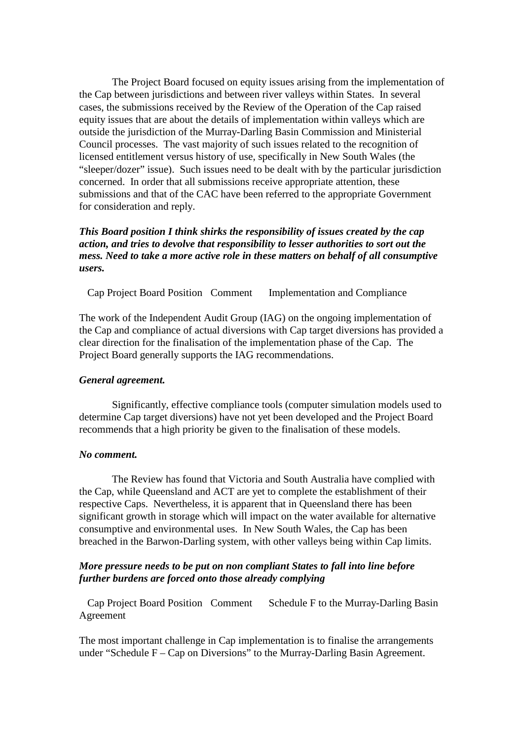The Project Board focused on equity issues arising from the implementation of the Cap between jurisdictions and between river valleys within States. In several cases, the submissions received by the Review of the Operation of the Cap raised equity issues that are about the details of implementation within valleys which are outside the jurisdiction of the Murray-Darling Basin Commission and Ministerial Council processes. The vast majority of such issues related to the recognition of licensed entitlement versus history of use, specifically in New South Wales (the "sleeper/dozer" issue). Such issues need to be dealt with by the particular jurisdiction concerned. In order that all submissions receive appropriate attention, these submissions and that of the CAC have been referred to the appropriate Government for consideration and reply.

# *This Board position I think shirks the responsibility of issues created by the cap action, and tries to devolve that responsibility to lesser authorities to sort out the mess. Need to take a more active role in these matters on behalf of all consumptive users.*

Cap Project Board Position Comment Implementation and Compliance

The work of the Independent Audit Group (IAG) on the ongoing implementation of the Cap and compliance of actual diversions with Cap target diversions has provided a clear direction for the finalisation of the implementation phase of the Cap. The Project Board generally supports the IAG recommendations.

#### *General agreement.*

Significantly, effective compliance tools (computer simulation models used to determine Cap target diversions) have not yet been developed and the Project Board recommends that a high priority be given to the finalisation of these models.

#### *No comment.*

The Review has found that Victoria and South Australia have complied with the Cap, while Queensland and ACT are yet to complete the establishment of their respective Caps. Nevertheless, it is apparent that in Queensland there has been significant growth in storage which will impact on the water available for alternative consumptive and environmental uses. In New South Wales, the Cap has been breached in the Barwon-Darling system, with other valleys being within Cap limits.

### *More pressure needs to be put on non compliant States to fall into line before further burdens are forced onto those already complying*

Cap Project Board Position Comment Schedule F to the Murray-Darling Basin Agreement

The most important challenge in Cap implementation is to finalise the arrangements under "Schedule F – Cap on Diversions" to the Murray-Darling Basin Agreement.